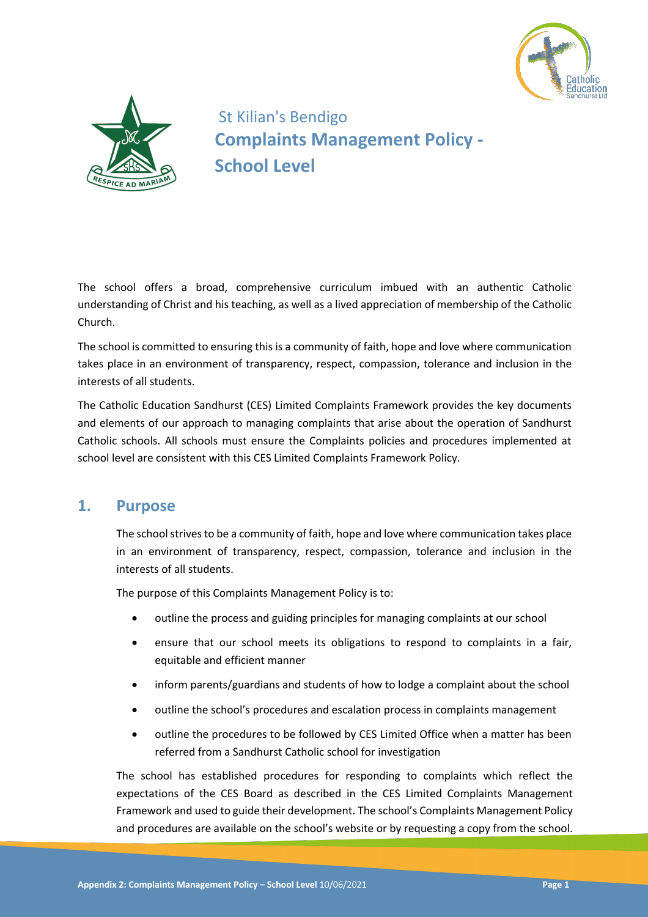



St Kilian's Bendigo **Complaints Management Policy - School Level**

The school offers a broad, comprehensive curriculum imbued with an authentic Catholic understanding of Christ and his teaching, as well as a lived appreciation of membership of the Catholic Church.

The school is committed to ensuring this is a community of faith, hope and love where communication takes place in an environment of transparency, respect, compassion, tolerance and inclusion in the interests of all students.

The Catholic Education Sandhurst (CES) Limited Complaints Framework provides the key documents and elements of our approach to managing complaints that arise about the operation of Sandhurst Catholic schools. All schools must ensure the Complaints policies and procedures implemented at school level are consistent with this CES Limited Complaints Framework Policy.

## **1. Purpose**

The school strives to be a community of faith, hope and love where communication takes place in an environment of transparency, respect, compassion, tolerance and inclusion in the interests of all students.

The purpose of this Complaints Management Policy is to:

- outline the process and guiding principles for managing complaints at our school
- ensure that our school meets its obligations to respond to complaints in a fair, equitable and efficient manner
- inform parents/guardians and students of how to lodge a complaint about the school
- outline the school's procedures and escalation process in complaints management
- outline the procedures to be followed by CES Limited Office when a matter has been referred from a Sandhurst Catholic school for investigation

The school has established procedures for responding to complaints which reflect the expectations of the CES Board as described in the CES Limited Complaints Management Framework and used to guide their development. The school's Complaints Management Policy and procedures are available on the school's website or by requesting a copy from the school.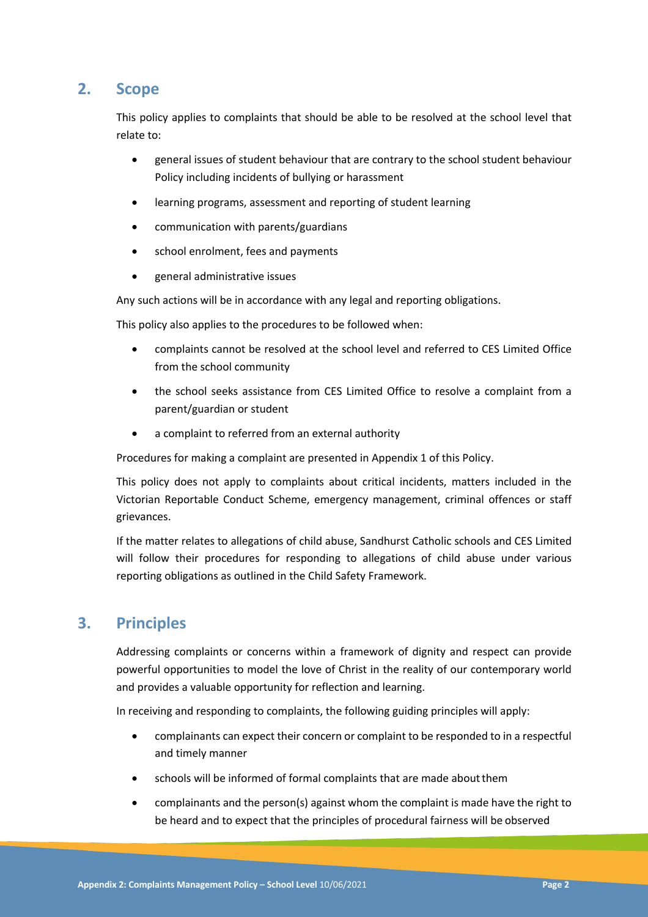## **2. Scope**

This policy applies to complaints that should be able to be resolved at the school level that relate to:

- general issues of student behaviour that are contrary to the school student behaviour Policy including incidents of bullying or harassment
- learning programs, assessment and reporting of student learning
- communication with parents/guardians
- school enrolment, fees and payments
- general administrative issues

Any such actions will be in accordance with any legal and reporting obligations.

This policy also applies to the procedures to be followed when:

- complaints cannot be resolved at the school level and referred to CES Limited Office from the school community
- the school seeks assistance from CES Limited Office to resolve a complaint from a parent/guardian or student
- a complaint to referred from an external authority

Procedures for making a complaint are presented in Appendix 1 of this Policy.

This policy does not apply to complaints about critical incidents, matters included in the Victorian Reportable Conduct Scheme, emergency management, criminal offences or staff grievances.

If the matter relates to allegations of child abuse, Sandhurst Catholic schools and CES Limited will follow their procedures for responding to allegations of child abuse under various reporting obligations as outlined in the Child Safety Framework.

## **3. Principles**

Addressing complaints or concerns within a framework of dignity and respect can provide powerful opportunities to model the love of Christ in the reality of our contemporary world and provides a valuable opportunity for reflection and learning.

In receiving and responding to complaints, the following guiding principles will apply:

- complainants can expect their concern or complaint to be responded to in a respectful and timely manner
- schools will be informed of formal complaints that are made aboutthem
- complainants and the person(s) against whom the complaint is made have the right to be heard and to expect that the principles of procedural fairness will be observed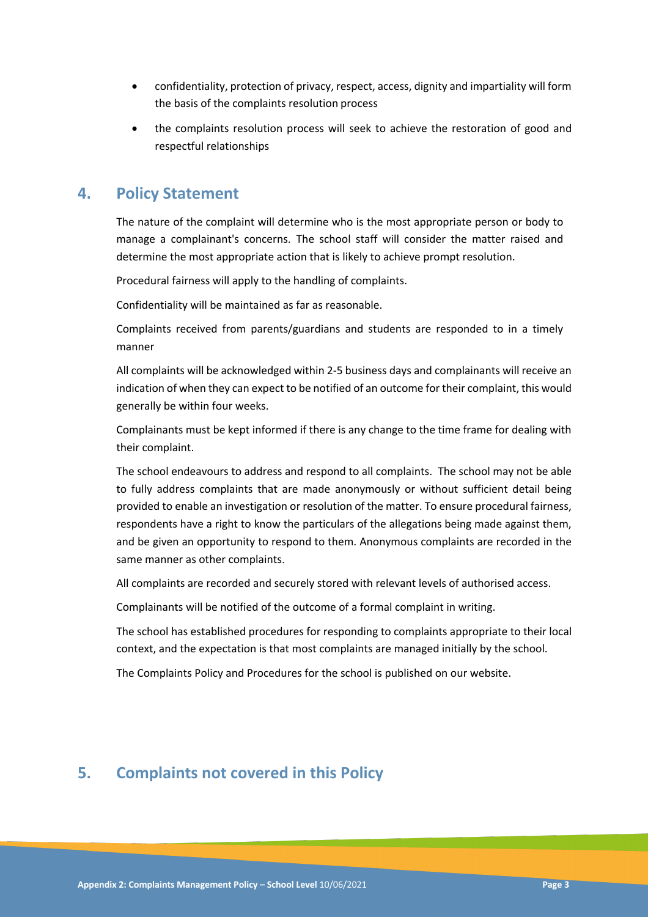- confidentiality, protection of privacy, respect, access, dignity and impartiality will form the basis of the complaints resolution process
- the complaints resolution process will seek to achieve the restoration of good and respectful relationships

## **4. Policy Statement**

The nature of the complaint will determine who is the most appropriate person or body to manage a complainant's concerns. The school staff will consider the matter raised and determine the most appropriate action that is likely to achieve prompt resolution.

Procedural fairness will apply to the handling of complaints.

Confidentiality will be maintained as far as reasonable.

Complaints received from parents/guardians and students are responded to in a timely manner

All complaints will be acknowledged within 2-5 business days and complainants will receive an indication of when they can expect to be notified of an outcome for their complaint, this would generally be within four weeks.

Complainants must be kept informed if there is any change to the time frame for dealing with their complaint.

The school endeavours to address and respond to all complaints. The school may not be able to fully address complaints that are made anonymously or without sufficient detail being provided to enable an investigation or resolution of the matter. To ensure procedural fairness, respondents have a right to know the particulars of the allegations being made against them, and be given an opportunity to respond to them. Anonymous complaints are recorded in the same manner as other complaints.

All complaints are recorded and securely stored with relevant levels of authorised access.

Complainants will be notified of the outcome of a formal complaint in writing.

The school has established procedures for responding to complaints appropriate to their local context, and the expectation is that most complaints are managed initially by the school.

The Complaints Policy and Procedures for the school is published on our website.

# **5. Complaints not covered in this Policy**